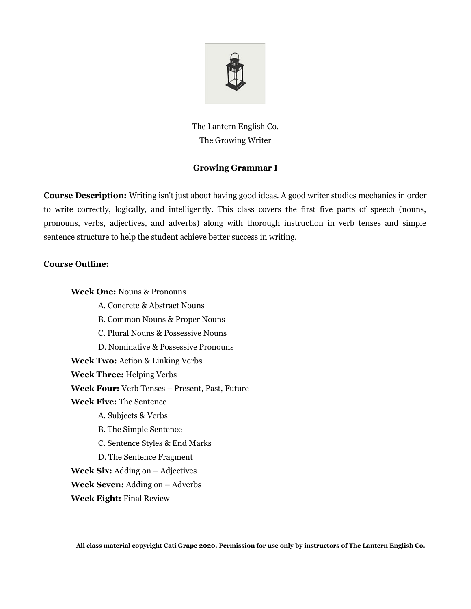

The Lantern English Co. The Growing Writer

## **Growing Grammar I**

**Course Description:** Writing isn't just about having good ideas. A good writer studies mechanics in order to write correctly, logically, and intelligently. This class covers the first five parts of speech (nouns, pronouns, verbs, adjectives, and adverbs) along with thorough instruction in verb tenses and simple sentence structure to help the student achieve better success in writing.

## **Course Outline:**

**Week One:** Nouns & Pronouns

- A. Concrete & Abstract Nouns
- B. Common Nouns & Proper Nouns
- C. Plural Nouns & Possessive Nouns
- D. Nominative & Possessive Pronouns

**Week Two:** Action & Linking Verbs

**Week Three:** Helping Verbs

**Week Four:** Verb Tenses – Present, Past, Future

- **Week Five:** The Sentence
	- A. Subjects & Verbs
	- B. The Simple Sentence
	- C. Sentence Styles & End Marks
	- D. The Sentence Fragment

**Week Six:** Adding on – Adjectives

**Week Seven:** Adding on – Adverbs

**Week Eight:** Final Review